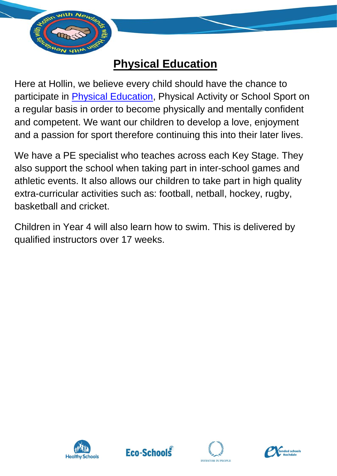

## **Physical Education**

Here at Hollin, we believe every child should have the chance to participate in **Physical Education**, Physical Activity or School Sport on a regular basis in order to become physically and mentally confident and competent. We want our children to develop a love, enjoyment and a passion for sport therefore continuing this into their later lives.

We have a PE specialist who teaches across each Key Stage. They also support the school when taking part in inter-school games and athletic events. It also allows our children to take part in high quality extra-curricular activities such as: football, netball, hockey, rugby, basketball and cricket.

Children in Year 4 will also learn how to swim. This is delivered by qualified instructors over 17 weeks.